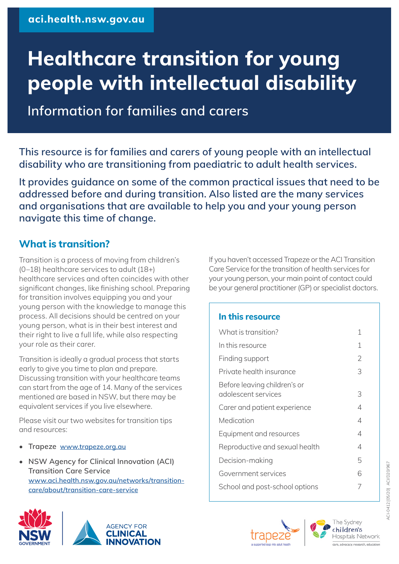# **Healthcare transition for young people with intellectual disability**

**Information for families and carers**

**This resource is for families and carers of young people with an intellectual disability who are transitioning from paediatric to adult health services.**

**It provides guidance on some of the common practical issues that need to be addressed before and during transition. Also listed are the many services and organisations that are available to help you and your young person navigate this time of change.**

# **What is transition?**

Transition is a process of moving from children's (0–18) healthcare services to adult (18+) healthcare services and often coincides with other significant changes, like finishing school. Preparing for transition involves equipping you and your young person with the knowledge to manage this process. All decisions should be centred on your young person, what is in their best interest and their right to live a full life, while also respecting your role as their carer.

Transition is ideally a gradual process that starts early to give you time to plan and prepare. Discussing transition with your healthcare teams can start from the age of 14. Many of the services mentioned are based in NSW, but there may be equivalent services if you live elsewhere.

Please visit our two websites for transition tips and resources:

- **• Trapeze www.trapeze.org.au**
- **• NSW Agency for Clinical Innovation (ACI) Transition Care Service www.aci.health.nsw.gov.au/networks/transitioncare/about/transition-care-service**



If you haven't accessed Trapeze or the ACI Transition Care Service for the transition of health services for your young person, your main point of contact could be your general practitioner (GP) or specialist doctors.

#### **In this resource**

| What is transition?                                 | 1 |
|-----------------------------------------------------|---|
| In this resource                                    | 1 |
| Finding support                                     | 2 |
| Private health insurance                            | 3 |
| Before leaving children's or<br>adolescent services | 3 |
| Carer and patient experience                        | 4 |
| Medication                                          | 4 |
| Equipment and resources                             | 4 |
| Reproductive and sexual health                      | 4 |
| Decision-making                                     | 5 |
| Government services                                 | 6 |
| School and post-school options                      |   |



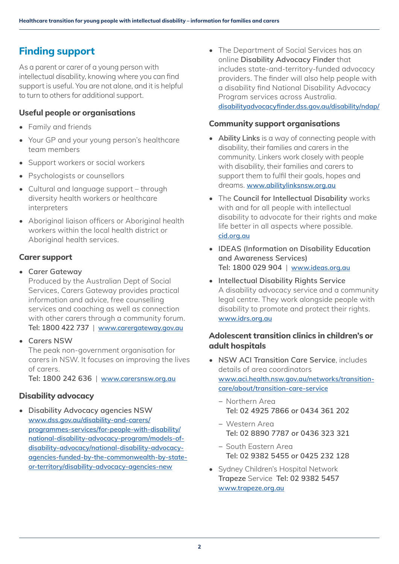# <span id="page-1-0"></span>**Finding support**

As a parent or carer of a young person with intellectual disability, knowing where you can find support is useful. You are not alone, and it is helpful to turn to others for additional support.

## **Useful people or organisations**

- Family and friends
- Your GP and your young person's healthcare team members
- Support workers or social workers
- Psychologists or counsellors
- Cultural and language support through diversity health workers or healthcare interpreters
- Aboriginal ligison officers or Aboriginal health workers within the local health district or Aboriginal health services.

## **Carer support**

- **• Carer Gateway**
	- Produced by the Australian Dept of Social Services, Carers Gateway provides practical information and advice, free counselling services and coaching as well as connection with other carers through a community forum. **Tel: 1800 422 737** | **[www.carergateway.gov.au](www.carergateway.gov.au
)**
- **• Carers NSW** The peak non-government organisation for carers in NSW. It focuses on improving the lives of carers.

**Tel: 1800 242 636** | **<www.carersnsw.org.au>**

## **Disability advocacy**

**• Disability Advocacy agencies NSW [www.dss.gov.au/disability-and-carers/](www.dss.gov.au/disability-and-carers/programmes-services/for-people-with-disability/national-disability-advocacy-program/models-of-disability-advocacy/national-disability-advocacy-agencies-funded-by-the-commonwealth-by-state-or-territory/disability-advocacy-agencies-new) [programmes-services/for-people-with-disability/](www.dss.gov.au/disability-and-carers/programmes-services/for-people-with-disability/national-disability-advocacy-program/models-of-disability-advocacy/national-disability-advocacy-agencies-funded-by-the-commonwealth-by-state-or-territory/disability-advocacy-agencies-new) [national-disability-advocacy-program/models-of](www.dss.gov.au/disability-and-carers/programmes-services/for-people-with-disability/national-disability-advocacy-program/models-of-disability-advocacy/national-disability-advocacy-agencies-funded-by-the-commonwealth-by-state-or-territory/disability-advocacy-agencies-new)[disability-advocacy/national-disability-advocacy](www.dss.gov.au/disability-and-carers/programmes-services/for-people-with-disability/national-disability-advocacy-program/models-of-disability-advocacy/national-disability-advocacy-agencies-funded-by-the-commonwealth-by-state-or-territory/disability-advocacy-agencies-new)[agencies-funded-by-the-commonwealth-by-state](www.dss.gov.au/disability-and-carers/programmes-services/for-people-with-disability/national-disability-advocacy-program/models-of-disability-advocacy/national-disability-advocacy-agencies-funded-by-the-commonwealth-by-state-or-territory/disability-advocacy-agencies-new)[or-territory/disability-advocacy-agencies-new](www.dss.gov.au/disability-and-carers/programmes-services/for-people-with-disability/national-disability-advocacy-program/models-of-disability-advocacy/national-disability-advocacy-agencies-funded-by-the-commonwealth-by-state-or-territory/disability-advocacy-agencies-new)**

• The Department of Social Services has an online **Disability Advocacy Finder** that includes state-and-territory-funded advocacy providers. The finder will also help people with a disability find National Disability Advocacy Program services across Australia. **<disabilityadvocacyfinder.dss.gov.au/disability/ndap/>**

#### **Community support organisations**

- **• Ability Links** is a way of connecting people with disability, their families and carers in the community. Linkers work closely with people with disability, their families and carers to support them to fulfil their goals, hopes and dreams. **<www.abilitylinksnsw.org.au>**
- The **Council for Intellectual Disability** works with and for all people with intellectual disability to advocate for their rights and make life better in all aspects where possible. **<cid.org.au>**
- **• IDEAS (Information on Disability Education and Awareness Services) Tel: 1800 029 904** | **<www.ideas.org.au>**
- **• Intellectual Disability Rights Service** A disability advocacy service and a community legal centre. They work alongside people with disability to promote and protect their rights. **<www.idrs.org.au>**

## **Adolescent transition clinics in children's or adult hospitals**

- **• NSW ACI Transition Care Service**, includes details of area coordinators **[www.aci.health.nsw.gov.au/networks/transition](www.aci.health.nsw.gov.au/networks/transition-care/about/transition-care-service)[care/about/transition-care-service](www.aci.health.nsw.gov.au/networks/transition-care/about/transition-care-service)**
	- − Northern Area **Tel: 02 4925 7866 or 0434 361 202**
	- − Western Area **Tel: 02 8890 7787 or 0436 323 321**
	- − South Eastern Area **Tel: 02 9382 5455 or 0425 232 128**
- Sydney Children's Hospital Network **Trapeze** Service **Tel: 02 9382 5457 <www.trapeze.org.au>**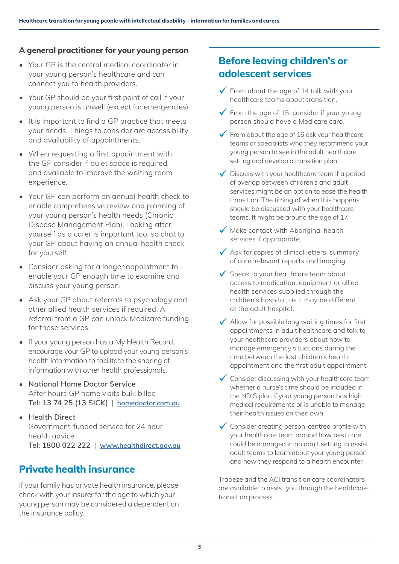## <span id="page-2-0"></span>**A general practitioner for your young person**

- Your GP is the central medical coordinator in your young person's healthcare and can connect you to health providers.
- Your GP should be your first point of call if your young person is unwell (except for emergencies).
- It is important to find a GP practice that meets your needs. Things to consider are accessibility and availability of appointments.
- When requesting a first appointment with the GP consider if quiet space is required and available to improve the waiting room experience.
- Your GP can perform an annual health check to enable comprehensive review and planning of your young person's health needs (Chronic Disease Management Plan). Looking after yourself as a carer is important too, so chat to your GP about having an annual health check for yourself.
- Consider asking for a longer appointment to enable your GP enough time to examine and discuss your young person.
- Ask your GP about referrals to psychology and other allied health services if required. A referral from a GP can unlock Medicare funding for these services.
- If your young person has a My Health Record, encourage your GP to upload your young person's health information to facilitate the sharing of information with other health professionals.
- **• National Home Doctor Service** After hours GP home visits bulk billed **Tel: 13 74 25 (13 SICK)** | **<homedoctor.com.au>**
- **• Health Direct** Government-funded service for 24 hour health advice **Tel: 1800 022 222** | **<www.healthdirect.gov.au>**

# **Private health insurance**

If your family has private health insurance, please check with your insurer for the age to which your young person may be considered a dependent on the insurance policy.

# **Before leaving children's or adolescent services**

- $\sqrt{\ }$  From about the age of 14 talk with your healthcare teams about transition.
- $\checkmark$  From the age of 15, consider if your young person should have a Medicare card.
- $\checkmark$  From about the age of 16 ask your healthcare teams or specialists who they recommend your young person to see in the adult healthcare setting and develop a transition plan.
- $\checkmark$  Discuss with your healthcare team if a period of overlap between children's and adult services might be an option to ease the health transition. The timing of when this happens should be discussed with your healthcare teams. It might be around the age of 17.
- $\sqrt{\phantom{a}}$  Make contact with Aboriginal health services if appropriate.
- $\sqrt{\ }$  Ask for copies of clinical letters, summary of care, relevant reports and imaging.
- $\checkmark$  Speak to your healthcare team about access to medication, equipment or allied health services supplied through the children's hospital, as it may be different at the adult hospital.
- $\sqrt{\phantom{a}}$  Allow for possible long waiting times for first appointments in adult healthcare and talk to your healthcare providers about how to manage emergency situations during the time between the last children's health appointment and the first adult appointment.
- $\checkmark$  Consider discussing with your healthcare team whether a nurse's time should be included in the NDIS plan if your young person has high medical requirements or is unable to manage their health issues on their own.
- $\checkmark$  Consider creating person-centred profile with your healthcare team around how best care could be managed in an adult setting to assist adult teams to learn about your young person and how they respond to a health encounter.

Trapeze and the ACI transition care coordinators are available to assist you through the healthcare. transition process.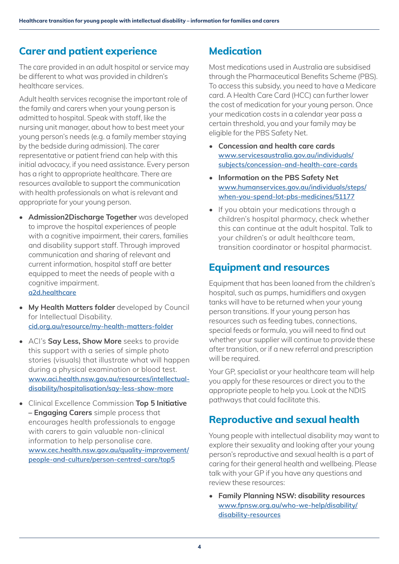## <span id="page-3-0"></span>**Carer and patient experience**

The care provided in an adult hospital or service may be different to what was provided in children's healthcare services.

Adult health services recognise the important role of the family and carers when your young person is admitted to hospital. Speak with staff, like the nursing unit manager, about how to best meet your young person's needs (e.g. a family member staying by the bedside during admission). The carer representative or patient friend can help with this initial advocacy, if you need assistance. Every person has a right to appropriate healthcare. There are resources available to support the communication with health professionals on what is relevant and appropriate for your young person.

- **• Admission2Discharge Together** was developed to improve the hospital experiences of people with a cognitive impairment, their carers, families and disability support staff. Through improved communication and sharing of relevant and current information, hospital staff are better equipped to meet the needs of people with a cognitive impairment. **<a2d.healthcare>**
- **• My Health Matters folder** developed by Council for Intellectual Disability. **<cid.org.au/resource/my-health-matters-folder>**
- ACI's **Say Less, Show More** seeks to provide this support with a series of simple photo stories (visuals) that illustrate what will happen during a physical examination or blood test. **[www.aci.health.nsw.gov.au/resources/intellectual](www.aci.health.nsw.gov.au/resources/intellectual-disability/hospitalisation/say-less-show-more)[disability/hospitalisation/say-less-show-more](www.aci.health.nsw.gov.au/resources/intellectual-disability/hospitalisation/say-less-show-more)**
- Clinical Excellence Commission **Top 5 Initiative – Engaging Carers** simple process that encourages health professionals to engage with carers to gain valuable non-clinical information to help personalise care. **[www.cec.health.nsw.gov.au/quality-improvement/](www.cec.health.nsw.gov.au/quality-improvement/people-and-culture/person-centred-care/top5) [people-and-culture/person-centred-care/top5](www.cec.health.nsw.gov.au/quality-improvement/people-and-culture/person-centred-care/top5)**

# **Medication**

Most medications used in Australia are subsidised through the Pharmaceutical Benefits Scheme (PBS). To access this subsidy, you need to have a Medicare card. A Health Care Card (HCC) can further lower the cost of medication for your young person. Once your medication costs in a calendar year pass a certain threshold, you and your family may be eligible for the PBS Safety Net.

- **• Concession and health care cards www.servicesaustralia.gov.au/individuals/ subjects/concession-and-health-care-cards**
- **• [Information on the PBS Safety Net](www.humanservices.gov.au/individuals/steps/when-you-spend-lot-pbs-medicines/51177) [www.humanservices.gov.au/individuals/steps/](www.humanservices.gov.au/individuals/steps/when-you-spend-lot-pbs-medicines/51177) [when-you-spend-lot-pbs-medicines/51177](www.humanservices.gov.au/individuals/steps/when-you-spend-lot-pbs-medicines/51177)**
- If you obtain your medications through a children's hospital pharmacy, check whether this can continue at the adult hospital. Talk to your children's or adult healthcare team, transition coordinator or hospital pharmacist.

## **Equipment and resources**

Equipment that has been loaned from the children's hospital, such as pumps, humidifiers and oxygen tanks will have to be returned when your young person transitions. If your young person has resources such as feeding tubes, connections, special feeds or formula, you will need to find out whether your supplier will continue to provide these after transition, or if a new referral and prescription will be required.

Your GP, specialist or your healthcare team will help you apply for these resources or direct you to the appropriate people to help you. Look at the NDIS pathways that could facilitate this.

# **Reproductive and sexual health**

Young people with intellectual disability may want to explore their sexuality and looking after your young person's reproductive and sexual health is a part of caring for their general health and wellbeing. Please talk with your GP if you have any questions and review these resources:

**• Family Planning NSW: disability resources www.fpnsw.org.au/who-we-help/disability/ disability-resources**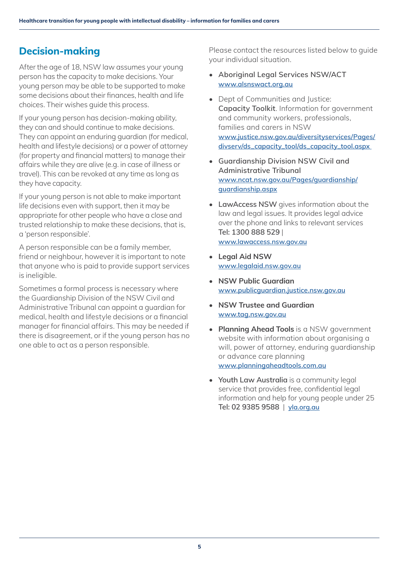# <span id="page-4-0"></span>**Decision-making**

After the age of 18, NSW law assumes your young person has the capacity to make decisions. Your young person may be able to be supported to make some decisions about their finances, health and life choices. Their wishes guide this process.

If your young person has decision-making ability, they can and should continue to make decisions. They can appoint an enduring guardian (for medical, health and lifestyle decisions) or a power of attorney (for property and financial matters) to manage their affairs while they are alive (e.g. in case of illness or travel). This can be revoked at any time as long as they have capacity.

If your young person is not able to make important life decisions even with support, then it may be appropriate for other people who have a close and trusted relationship to make these decisions, that is, a 'person responsible'.

A person responsible can be a family member, friend or neighbour, however it is important to note that anyone who is paid to provide support services is ineligible.

Sometimes a formal process is necessary where the Guardianship Division of the NSW Civil and Administrative Tribunal can appoint a guardian for medical, health and lifestyle decisions or a financial manager for financial affairs. This may be needed if there is disagreement, or if the young person has no one able to act as a person responsible.

Please contact the resources listed below to guide your individual situation.

- **• Aboriginal Legal Services NSW/ACT www.alsnswact.org.au**
- Dept of Communities and Justice: **Capacity Toolkit**. Information for government and community workers, professionals, families and carers in NSW **[www.justice.nsw.gov.au/diversityservices/Pages/](www.justice.nsw.gov.au/diversityservices/Pages/divserv/ds_capacity_tool/ds_capacity_tool.aspx) [divserv/ds\\_capacity\\_tool/ds\\_capacity\\_tool.aspx](www.justice.nsw.gov.au/diversityservices/Pages/divserv/ds_capacity_tool/ds_capacity_tool.aspx)**
- **• Guardianship Division NSW Civil and Administrative Tribunal www.ncat.nsw.gov.au/Pages/guardianship/ guardianship.aspx**
- **• LawAccess NSW** gives information about the law and legal issues. It provides legal advice over the phone and links to relevant services **Tel: 1300 888 529** | **<www.lawaccess.nsw.gov.au>**
- **• Legal Aid NSW www.legalaid.nsw.gov.au**
- **• NSW Public Guardian www.publicguardian.justice.nsw.gov.au**
- **• NSW Trustee and Guardian www.tag.nsw.gov.au**
- **• Planning Ahead Tools** is a NSW government website with information about organising a will, power of attorney, enduring guardianship or advance care planning **<www.planningaheadtools.com.au>**
- **• Youth Law Australia** is a community legal service that provides free, confidential legal information and help for young people under 25 **Tel: 02 9385 9588** | **<yla.org.au>**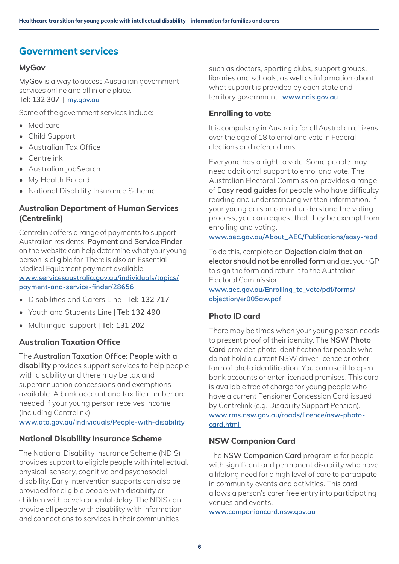# <span id="page-5-0"></span>**Government services**

## **MyGov**

**MyGov** is a way to access Australian government services online and all in one place. **Tel: 132 307** | **<my.gov.au>**

Some of the government services include:

- Medicare
- Child Support
- Australian Tax Office
- Centrelink
- Australian JobSearch
- My Health Record
- National Disability Insurance Scheme

## **Australian Department of Human Services (Centrelink)**

Centrelink offers a range of payments to support Australian residents. **Payment and Service Finder** on the website can help determine what your young person is eligible for. There is also an Essential Medical Equipment payment available. **[www.servicesaustralia.gov.au/individuals/topics/](https://www.servicesaustralia.gov.au/individuals/topics/payment-and-service-finder/28656) [payment-and-service-finder/28656](https://www.servicesaustralia.gov.au/individuals/topics/payment-and-service-finder/28656)**

- Disabilities and Carers Line | **Tel: 132 717**
- Youth and Students Line | **Tel: 132 490**
- Multilingual support | **Tel: 131 202**

## **Australian Taxation Office**

The **Australian Taxation Office: People with a disability** provides support services to help people with disability and there may be tax and superannuation concessions and exemptions available. A bank account and tax file number are needed if your young person receives income (including Centrelink).

**<www.ato.gov.au/Individuals/People-with-disability>**

## **National Disability Insurance Scheme**

The National Disability Insurance Scheme (NDIS) provides support to eligible people with intellectual, physical, sensory, cognitive and psychosocial disability. Early intervention supports can also be provided for eligible people with disability or children with developmental delay. The NDIS can provide all people with disability with information and connections to services in their communities

such as doctors, sporting clubs, support groups, libraries and schools, as well as information about what support is provided by each state and territory government. **<www.ndis.gov.au>**

## **Enrolling to vote**

It is compulsory in Australia for all Australian citizens over the age of 18 to enrol and vote in Federal elections and referendums.

Everyone has a right to vote. Some people may need additional support to enrol and vote. The Australian Electoral Commission provides a range of **Easy read guides** for people who have difficulty reading and understanding written information. If your young person cannot understand the voting process, you can request that they be exempt from enrolling and voting.

**[www.aec.gov.au/About\\_AEC/Publications/easy-read](www.aec.gov.au/About_AEC/Publications/easy-read
)**

To do this, complete an **Objection claim that an elector should not be enrolled form** and get your GP to sign the form and return it to the Australian Electoral Commission.

**[www.aec.gov.au/Enrolling\\_to\\_vote/pdf/forms/](www.aec.gov.au/Enrolling_to_vote/pdf/forms/objection/er005aw.pdf) [objection/er005aw.pdf](www.aec.gov.au/Enrolling_to_vote/pdf/forms/objection/er005aw.pdf)** 

## **Photo ID card**

There may be times when your young person needs to present proof of their identity. The **NSW Photo Card** provides photo identification for people who do not hold a current NSW driver licence or other form of photo identification. You can use it to open bank accounts or enter licensed premises. This card is available free of charge for young people who have a current Pensioner Concession Card issued by Centrelink (e.g. Disability Support Pension). **[www.rms.nsw.gov.au/roads/licence/nsw-photo](www.rms.nsw.gov.au/roads/licence/nsw-photo-card.html)[card.html](www.rms.nsw.gov.au/roads/licence/nsw-photo-card.html)** 

## **NSW Companion Card**

The **NSW Companion Card** program is for people with significant and permanent disability who have a lifelong need for a high level of care to participate in community events and activities. This card allows a person's carer free entry into participating venues and events.

**[www.companioncard.nsw.gov.au](www.companioncard.nsw.gov.au
)**